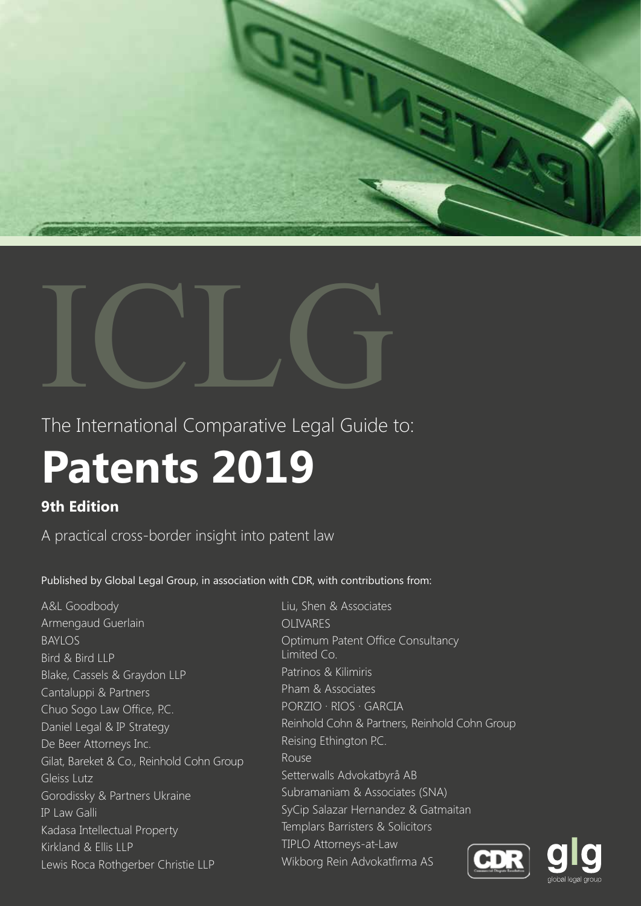



The International Comparative Legal Guide to:

# **Patents 2019**

# **9th Edition**

A practical cross-border insight into patent law

Published by Global Legal Group, in association with CDR, with contributions from:

A&L Goodbody Armengaud Guerlain BAYLOS Bird & Bird LLP Blake, Cassels & Graydon LLP Cantaluppi & Partners Chuo Sogo Law Office, P.C. Daniel Legal & IP Strategy De Beer Attorneys Inc. Gilat, Bareket & Co., Reinhold Cohn Group Gleiss Lutz Gorodissky & Partners Ukraine IP Law Galli Kadasa Intellectual Property Kirkland & Ellis LLP Lewis Roca Rothgerber Christie LLP

Liu, Shen & Associates OLIVARES Optimum Patent Office Consultancy Limited Co. Patrinos & Kilimiris Pham & Associates PORZIO ∙ RIOS ∙ GARCIA Reinhold Cohn & Partners, Reinhold Cohn Group Reising Ethington P.C. Rouse Setterwalls Advokatbyrå AB Subramaniam & Associates (SNA) SyCip Salazar Hernandez & Gatmaitan Templars Barristers & Solicitors TIPLO Attorneys-at-Law Wikborg Rein Advokatfirma AS



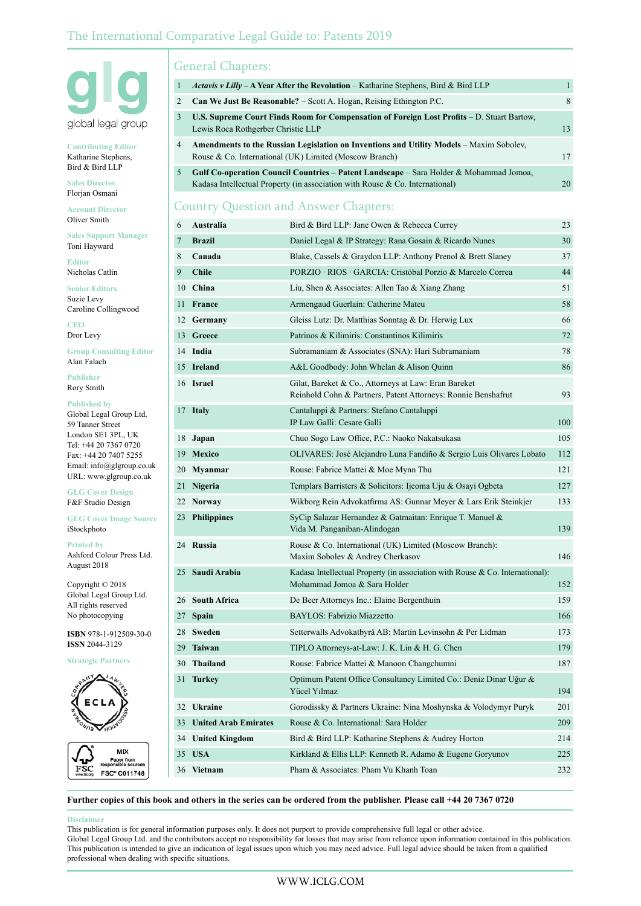

**Contributing Editor** Katharine Stephens, Bird & Bird LLP

**Sales Director** Florjan Osmani

**Account Director** Oliver Smith

|              |  | <b>Sales Support Manager</b> |  |  |  |  |
|--------------|--|------------------------------|--|--|--|--|
| Toni Hayward |  |                              |  |  |  |  |

**Editor** Nicholas Catlin

**Senior Editors** Suzie Levy Caroline Collingwood

**CEO** Dror Levy

**Group Consulting Editor** Alan Falach

**Publisher** Rory Smith

# **Published by**

Global Legal Group Ltd. 59 Tanner Street London SE1 3PL, UK Tel: +44 20 7367 0720 Fax: +44 20 7407 5255 Email: info@glgroup.co.uk URL: www.glgroup.co.uk

**GLG Cover Design** F&F Studio Design

#### **GLG Cover Image Source** iStockphoto

**Printed by** Ashford Colour Press Ltd. August 2018

Copyright © 2018 Global Legal Group Ltd. All rights reserved No photocopying

**ISBN** 978-1-912509-30-0 **ISSN** 2044-3129

**Strategic Partners**



Paper from<br>onsible so

FSC<sup>®</sup> C011748

# General Chapters:

| $\mathbf{1}$ |                                                                                                                                                   | Actavis v Lilly – A Year After the Revolution – Katharine Stephens, Bird & Bird LLP                                                                                                 |        |
|--------------|---------------------------------------------------------------------------------------------------------------------------------------------------|-------------------------------------------------------------------------------------------------------------------------------------------------------------------------------------|--------|
| 2            |                                                                                                                                                   | <b>Can We Just Be Reasonable?</b> – Scott A. Hogan, Reising Ethington P.C.                                                                                                          | 8      |
| 3            | Lewis Roca Rothgerber Christie LLP                                                                                                                | U.S. Supreme Court Finds Room for Compensation of Foreign Lost Profits – D. Stuart Bartow,                                                                                          | 13     |
| 4            | Amendments to the Russian Legislation on Inventions and Utility Models – Maxim Soboley,<br>Rouse & Co. International (UK) Limited (Moscow Branch) |                                                                                                                                                                                     | 17     |
| 5            |                                                                                                                                                   | <b>Gulf Co-operation Council Countries – Patent Landscape – Sara Holder &amp; Mohammad Jomoa,</b><br>Kadasa Intellectual Property (in association with Rouse $& Co.$ International) | 20     |
|              |                                                                                                                                                   | <b>Country Question and Answer Chapters:</b>                                                                                                                                        |        |
| 6            | Australia                                                                                                                                         | Bird & Bird LLP: Jane Owen & Rebecca Currey                                                                                                                                         | 23     |
| $\tau$       | <b>Brazil</b>                                                                                                                                     | Daniel Legal & IP Strategy: Rana Gosain & Ricardo Nunes                                                                                                                             | 30     |
|              |                                                                                                                                                   | ומים מים והורדדים ומים וחד                                                                                                                                                          | $\sim$ |

| $\mathcal{L}$ | <b>Brazil</b>           | Daniel Legal & IP Strategy: Rana Gosain & Ricardo Nunes                                                               | 30  |
|---------------|-------------------------|-----------------------------------------------------------------------------------------------------------------------|-----|
| 8             | Canada                  | Blake, Cassels & Graydon LLP: Anthony Prenol & Brett Slaney                                                           |     |
| 9             | <b>Chile</b>            | PORZIO · RIOS · GARCIA: Cristóbal Porzio & Marcelo Correa                                                             | 44  |
|               | 10 China                | Liu, Shen & Associates: Allen Tao & Xiang Zhang                                                                       | 51  |
|               | 11 France               | Armengaud Guerlain: Catherine Mateu                                                                                   | 58  |
|               | 12 Germany              | Gleiss Lutz: Dr. Matthias Sonntag & Dr. Herwig Lux                                                                    | 66  |
|               | 13 Greece               | Patrinos & Kilimiris: Constantinos Kilimiris                                                                          | 72  |
|               | 14 India                | Subramaniam & Associates (SNA): Hari Subramaniam                                                                      | 78  |
|               | 15 Ireland              | A&L Goodbody: John Whelan & Alison Quinn                                                                              | 86  |
|               | 16 Israel               | Gilat, Bareket & Co., Attorneys at Law: Eran Bareket<br>Reinhold Cohn & Partners, Patent Attorneys: Ronnie Benshafrut | 93  |
|               | 17 Italy                | Cantaluppi & Partners: Stefano Cantaluppi<br>IP Law Galli: Cesare Galli                                               | 100 |
| 18            | Japan                   | Chuo Sogo Law Office, P.C.: Naoko Nakatsukasa                                                                         | 105 |
|               | 19 Mexico               | OLIVARES: José Alejandro Luna Fandiño & Sergio Luis Olivares Lobato                                                   | 112 |
|               | 20 Myanmar              | Rouse: Fabrice Mattei & Moe Mynn Thu                                                                                  | 121 |
|               | 21 Nigeria              | Templars Barristers & Solicitors: Ijeoma Uju & Osayi Ogbeta                                                           | 127 |
|               | 22 Norway               | Wikborg Rein Advokatfirma AS: Gunnar Meyer & Lars Erik Steinkjer                                                      | 133 |
| 23            | <b>Philippines</b>      | SyCip Salazar Hernandez & Gatmaitan: Enrique T. Manuel &<br>Vida M. Panganiban-Alindogan                              | 139 |
|               | 24 Russia               | Rouse & Co. International (UK) Limited (Moscow Branch):<br>Maxim Sobolev & Andrey Cherkasov                           | 146 |
|               | 25 Saudi Arabia         | Kadasa Intellectual Property (in association with Rouse $\&$ Co. International):<br>Mohammad Jomoa & Sara Holder      | 152 |
|               | 26 South Africa         | De Beer Attorneys Inc.: Elaine Bergenthuin                                                                            | 159 |
|               | 27 Spain                | <b>BAYLOS: Fabrizio Miazzetto</b>                                                                                     | 166 |
|               | 28 Sweden               | Setterwalls Advokatbyrå AB: Martin Levinsohn & Per Lidman                                                             | 173 |
|               | 29 Taiwan               | TIPLO Attorneys-at-Law: J. K. Lin & H. G. Chen                                                                        | 179 |
| 30            | Thailand                | Rouse: Fabrice Mattei & Manoon Changchumni                                                                            | 187 |
| 31            | <b>Turkey</b>           | Optimum Patent Office Consultancy Limited Co.: Deniz Dinar Uğur &<br>Yücel Yılmaz                                     | 194 |
|               | 32 Ukraine              | Gorodissky & Partners Ukraine: Nina Moshynska & Volodymyr Puryk                                                       | 201 |
|               | 33 United Arab Emirates | Rouse & Co. International: Sara Holder                                                                                | 209 |
|               | 34 United Kingdom       | Bird & Bird LLP: Katharine Stephens & Audrey Horton                                                                   | 214 |
|               | 35 USA                  | Kirkland & Ellis LLP: Kenneth R. Adamo & Eugene Goryunov                                                              | 225 |
|               | 36 Vietnam              | Pham & Associates: Pham Vu Khanh Toan                                                                                 | 232 |
|               |                         |                                                                                                                       |     |

#### **Further copies of this book and others in the series can be ordered from the publisher. Please call +44 20 7367 0720**

#### **Disclaimer**

**FSC** 

This publication is for general information purposes only. It does not purport to provide comprehensive full legal or other advice. Global Legal Group Ltd. and the contributors accept no responsibility for losses that may arise from reliance upon information contained in this publication. This publication is intended to give an indication of legal issues upon which you may need advice. Full legal advice should be taken from a qualified professional when dealing with specific situations.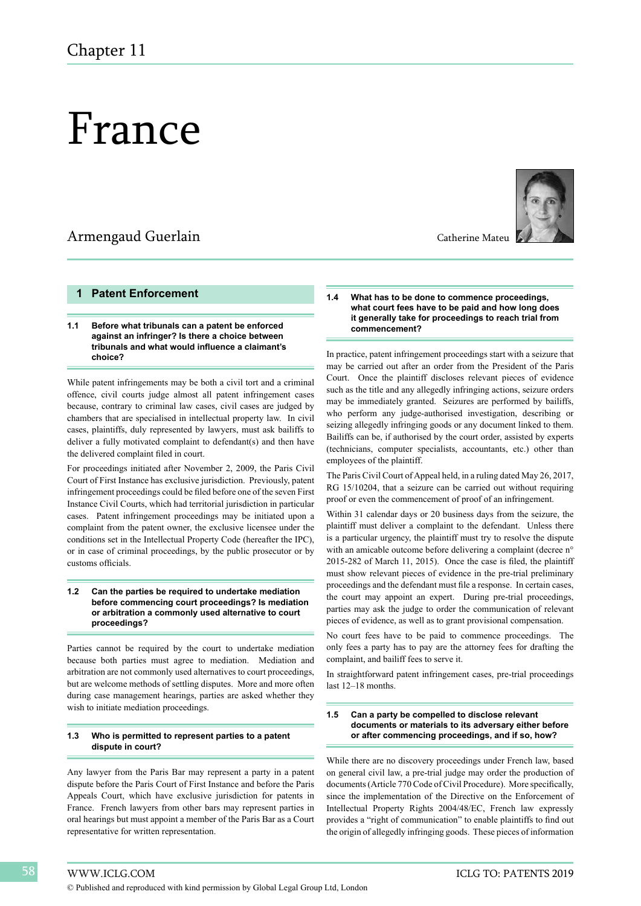# France

# Armengaud Guerlain Catherine Mateu

#### **1 Patent Enforcement**

#### **1.1 Before what tribunals can a patent be enforced against an infringer? Is there a choice between tribunals and what would influence a claimant's choice?**

While patent infringements may be both a civil tort and a criminal offence, civil courts judge almost all patent infringement cases because, contrary to criminal law cases, civil cases are judged by chambers that are specialised in intellectual property law. In civil cases, plaintiffs, duly represented by lawyers, must ask bailiffs to deliver a fully motivated complaint to defendant(s) and then have the delivered complaint filed in court.

For proceedings initiated after November 2, 2009, the Paris Civil Court of First Instance has exclusive jurisdiction. Previously, patent infringement proceedings could be filed before one of the seven First Instance Civil Courts, which had territorial jurisdiction in particular cases. Patent infringement proceedings may be initiated upon a complaint from the patent owner, the exclusive licensee under the conditions set in the Intellectual Property Code (hereafter the IPC), or in case of criminal proceedings, by the public prosecutor or by customs officials.

#### **1.2 Can the parties be required to undertake mediation before commencing court proceedings? Is mediation or arbitration a commonly used alternative to court proceedings?**

Parties cannot be required by the court to undertake mediation because both parties must agree to mediation. Mediation and arbitration are not commonly used alternatives to court proceedings, but are welcome methods of settling disputes. More and more often during case management hearings, parties are asked whether they wish to initiate mediation proceedings.

#### **1.3 Who is permitted to represent parties to a patent dispute in court?**

Any lawyer from the Paris Bar may represent a party in a patent dispute before the Paris Court of First Instance and before the Paris Appeals Court, which have exclusive jurisdiction for patents in France. French lawyers from other bars may represent parties in oral hearings but must appoint a member of the Paris Bar as a Court representative for written representation.



#### **1.4 What has to be done to commence proceedings, what court fees have to be paid and how long does it generally take for proceedings to reach trial from commencement?**

In practice, patent infringement proceedings start with a seizure that may be carried out after an order from the President of the Paris Court. Once the plaintiff discloses relevant pieces of evidence such as the title and any allegedly infringing actions, seizure orders may be immediately granted. Seizures are performed by bailiffs, who perform any judge-authorised investigation, describing or seizing allegedly infringing goods or any document linked to them. Bailiffs can be, if authorised by the court order, assisted by experts (technicians, computer specialists, accountants, etc.) other than employees of the plaintiff.

The Paris Civil Court of Appeal held, in a ruling dated May 26, 2017, RG 15/10204, that a seizure can be carried out without requiring proof or even the commencement of proof of an infringement.

Within 31 calendar days or 20 business days from the seizure, the plaintiff must deliver a complaint to the defendant. Unless there is a particular urgency, the plaintiff must try to resolve the dispute with an amicable outcome before delivering a complaint (decree n° 2015-282 of March 11, 2015). Once the case is filed, the plaintiff must show relevant pieces of evidence in the pre-trial preliminary proceedings and the defendant must file a response. In certain cases, the court may appoint an expert. During pre-trial proceedings, parties may ask the judge to order the communication of relevant pieces of evidence, as well as to grant provisional compensation.

No court fees have to be paid to commence proceedings. The only fees a party has to pay are the attorney fees for drafting the complaint, and bailiff fees to serve it.

In straightforward patent infringement cases, pre-trial proceedings last 12–18 months.

#### **1.5 Can a party be compelled to disclose relevant documents or materials to its adversary either before or after commencing proceedings, and if so, how?**

While there are no discovery proceedings under French law, based on general civil law, a pre-trial judge may order the production of documents(Article 770 Code of Civil Procedure). More specifically, since the implementation of the Directive on the Enforcement of Intellectual Property Rights 2004/48/EC, French law expressly provides a "right of communication" to enable plaintiffs to find out the origin of allegedly infringing goods. These pieces of information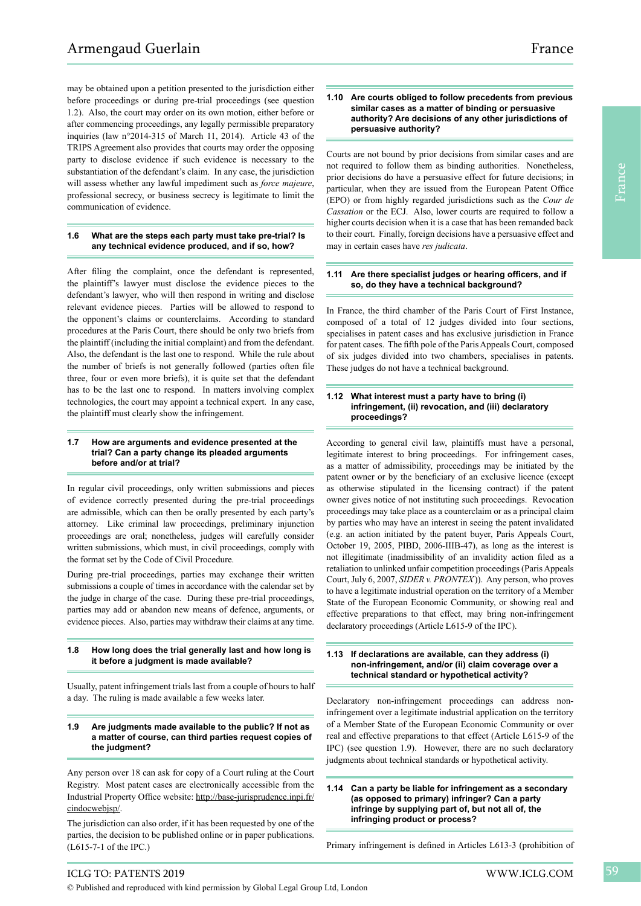may be obtained upon a petition presented to the jurisdiction either before proceedings or during pre-trial proceedings (see question 1.2). Also, the court may order on its own motion, either before or after commencing proceedings, any legally permissible preparatory inquiries (law n°2014-315 of March 11, 2014). Article 43 of the TRIPS Agreement also provides that courts may order the opposing party to disclose evidence if such evidence is necessary to the substantiation of the defendant's claim. In any case, the jurisdiction will assess whether any lawful impediment such as *force majeure*, professional secrecy, or business secrecy is legitimate to limit the communication of evidence.

#### **1.6 What are the steps each party must take pre-trial? Is any technical evidence produced, and if so, how?**

After filing the complaint, once the defendant is represented, the plaintiff's lawyer must disclose the evidence pieces to the defendant's lawyer, who will then respond in writing and disclose relevant evidence pieces. Parties will be allowed to respond to the opponent's claims or counterclaims. According to standard procedures at the Paris Court, there should be only two briefs from the plaintiff (including the initial complaint) and from the defendant. Also, the defendant is the last one to respond. While the rule about the number of briefs is not generally followed (parties often file three, four or even more briefs), it is quite set that the defendant has to be the last one to respond. In matters involving complex technologies, the court may appoint a technical expert. In any case, the plaintiff must clearly show the infringement.

#### **1.7 How are arguments and evidence presented at the trial? Can a party change its pleaded arguments before and/or at trial?**

In regular civil proceedings, only written submissions and pieces of evidence correctly presented during the pre-trial proceedings are admissible, which can then be orally presented by each party's attorney. Like criminal law proceedings, preliminary injunction proceedings are oral; nonetheless, judges will carefully consider written submissions, which must, in civil proceedings, comply with the format set by the Code of Civil Procedure.

During pre-trial proceedings, parties may exchange their written submissions a couple of times in accordance with the calendar set by the judge in charge of the case. During these pre-trial proceedings, parties may add or abandon new means of defence, arguments, or evidence pieces. Also, parties may withdraw their claims at any time.

#### **1.8 How long does the trial generally last and how long is it before a judgment is made available?**

Usually, patent infringement trials last from a couple of hours to half a day. The ruling is made available a few weeks later.

#### **1.9 Are judgments made available to the public? If not as a matter of course, can third parties request copies of the judgment?**

Any person over 18 can ask for copy of a Court ruling at the Court Registry. Most patent cases are electronically accessible from the Industrial Property Office website: http://base-jurisprudence.inpi.fr/ cindocwebjsp/.

The jurisdiction can also order, if it has been requested by one of the parties, the decision to be published online or in paper publications. (L615-7-1 of the IPC.)

#### **1.10 Are courts obliged to follow precedents from previous similar cases as a matter of binding or persuasive authority? Are decisions of any other jurisdictions of persuasive authority?**

Courts are not bound by prior decisions from similar cases and are not required to follow them as binding authorities. Nonetheless, prior decisions do have a persuasive effect for future decisions; in particular, when they are issued from the European Patent Office (EPO) or from highly regarded jurisdictions such as the *Cour de Cassation* or the ECJ. Also, lower courts are required to follow a higher courts decision when it is a case that has been remanded back to their court. Finally, foreign decisions have a persuasive effect and may in certain cases have *res judicata*.

#### **1.11 Are there specialist judges or hearing officers, and if so, do they have a technical background?**

In France, the third chamber of the Paris Court of First Instance, composed of a total of 12 judges divided into four sections, specialises in patent cases and has exclusive jurisdiction in France for patent cases. The fifth pole of the Paris Appeals Court, composed of six judges divided into two chambers, specialises in patents. These judges do not have a technical background.

#### **1.12 What interest must a party have to bring (i) infringement, (ii) revocation, and (iii) declaratory proceedings?**

According to general civil law, plaintiffs must have a personal, legitimate interest to bring proceedings. For infringement cases, as a matter of admissibility, proceedings may be initiated by the patent owner or by the beneficiary of an exclusive licence (except as otherwise stipulated in the licensing contract) if the patent owner gives notice of not instituting such proceedings. Revocation proceedings may take place as a counterclaim or as a principal claim by parties who may have an interest in seeing the patent invalidated (e.g. an action initiated by the patent buyer, Paris Appeals Court, October 19, 2005, PIBD, 2006-IIIB-47), as long as the interest is not illegitimate (inadmissibility of an invalidity action filed as a retaliation to unlinked unfair competition proceedings (Paris Appeals Court, July 6, 2007, *SIDER v. PRONTEX*)). Any person, who proves to have a legitimate industrial operation on the territory of a Member State of the European Economic Community, or showing real and effective preparations to that effect, may bring non-infringement declaratory proceedings (Article L615-9 of the IPC).

#### **1.13 If declarations are available, can they address (i) non-infringement, and/or (ii) claim coverage over a technical standard or hypothetical activity?**

Declaratory non-infringement proceedings can address noninfringement over a legitimate industrial application on the territory of a Member State of the European Economic Community or over real and effective preparations to that effect (Article L615-9 of the IPC) (see question 1.9). However, there are no such declaratory judgments about technical standards or hypothetical activity.

#### **1.14 Can a party be liable for infringement as a secondary (as opposed to primary) infringer? Can a party infringe by supplying part of, but not all of, the infringing product or process?**

Primary infringement is defined in Articles L613-3 (prohibition of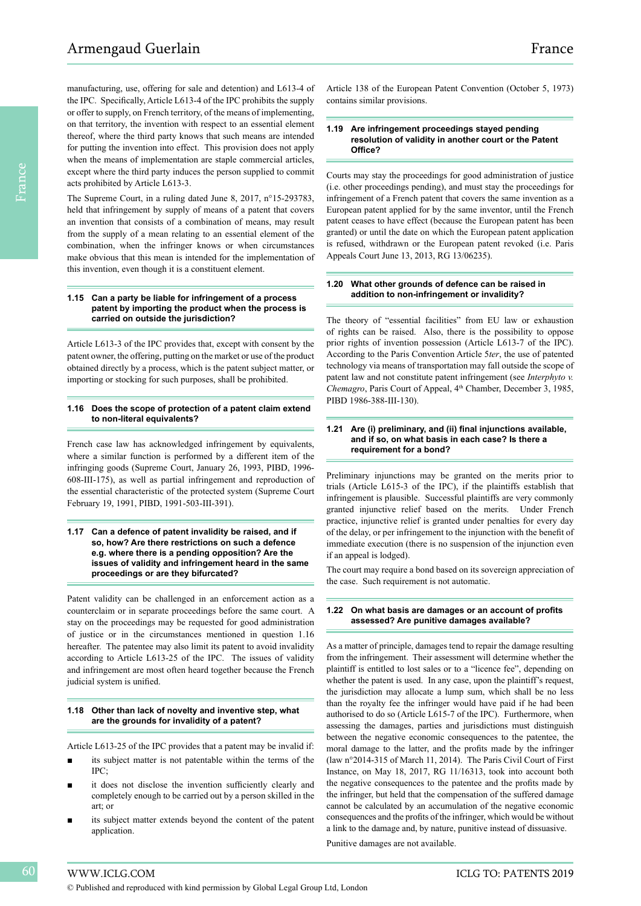manufacturing, use, offering for sale and detention) and L613-4 of the IPC. Specifically, Article L613-4 of the IPC prohibits the supply or offer to supply, on French territory, of the means of implementing, on that territory, the invention with respect to an essential element thereof, where the third party knows that such means are intended for putting the invention into effect. This provision does not apply when the means of implementation are staple commercial articles, except where the third party induces the person supplied to commit acts prohibited by Article L613-3.

The Supreme Court, in a ruling dated June 8, 2017, n°15-293783, held that infringement by supply of means of a patent that covers an invention that consists of a combination of means, may result from the supply of a mean relating to an essential element of the combination, when the infringer knows or when circumstances make obvious that this mean is intended for the implementation of this invention, even though it is a constituent element.

#### **1.15 Can a party be liable for infringement of a process patent by importing the product when the process is carried on outside the jurisdiction?**

Article L613-3 of the IPC provides that, except with consent by the patent owner, the offering, putting on the market or use of the product obtained directly by a process, which is the patent subject matter, or importing or stocking for such purposes, shall be prohibited.

#### **1.16 Does the scope of protection of a patent claim extend to non-literal equivalents?**

French case law has acknowledged infringement by equivalents, where a similar function is performed by a different item of the infringing goods (Supreme Court, January 26, 1993, PIBD, 1996- 608-III-175), as well as partial infringement and reproduction of the essential characteristic of the protected system (Supreme Court February 19, 1991, PIBD, 1991-503-III-391).

#### **1.17 Can a defence of patent invalidity be raised, and if so, how? Are there restrictions on such a defence e.g. where there is a pending opposition? Are the issues of validity and infringement heard in the same proceedings or are they bifurcated?**

Patent validity can be challenged in an enforcement action as a counterclaim or in separate proceedings before the same court. A stay on the proceedings may be requested for good administration of justice or in the circumstances mentioned in question 1.16 hereafter. The patentee may also limit its patent to avoid invalidity according to Article L613-25 of the IPC. The issues of validity and infringement are most often heard together because the French judicial system is unified.

#### **1.18 Other than lack of novelty and inventive step, what are the grounds for invalidity of a patent?**

Article L613-25 of the IPC provides that a patent may be invalid if:

- its subject matter is not patentable within the terms of the IPC;
- it does not disclose the invention sufficiently clearly and completely enough to be carried out by a person skilled in the art; or
- its subject matter extends beyond the content of the patent application.

Article 138 of the European Patent Convention (October 5, 1973) contains similar provisions.

#### **1.19 Are infringement proceedings stayed pending resolution of validity in another court or the Patent Office?**

Courts may stay the proceedings for good administration of justice (i.e. other proceedings pending), and must stay the proceedings for infringement of a French patent that covers the same invention as a European patent applied for by the same inventor, until the French patent ceases to have effect (because the European patent has been granted) or until the date on which the European patent application is refused, withdrawn or the European patent revoked (i.e. Paris Appeals Court June 13, 2013, RG 13/06235).

#### **1.20 What other grounds of defence can be raised in addition to non-infringement or invalidity?**

The theory of "essential facilities" from EU law or exhaustion of rights can be raised. Also, there is the possibility to oppose prior rights of invention possession (Article L613-7 of the IPC). According to the Paris Convention Article 5*ter*, the use of patented technology via means of transportation may fall outside the scope of patent law and not constitute patent infringement (see *Interphyto v. Chemagro*, Paris Court of Appeal, 4th Chamber, December 3, 1985, PIBD 1986-388-III-130).

#### **1.21 Are (i) preliminary, and (ii) final injunctions available, and if so, on what basis in each case? Is there a requirement for a bond?**

Preliminary injunctions may be granted on the merits prior to trials (Article L615-3 of the IPC), if the plaintiffs establish that infringement is plausible. Successful plaintiffs are very commonly granted injunctive relief based on the merits. Under French practice, injunctive relief is granted under penalties for every day of the delay, or per infringement to the injunction with the benefit of immediate execution (there is no suspension of the injunction even if an appeal is lodged).

The court may require a bond based on its sovereign appreciation of the case. Such requirement is not automatic.

#### **1.22 On what basis are damages or an account of profits assessed? Are punitive damages available?**

As a matter of principle, damages tend to repair the damage resulting from the infringement. Their assessment will determine whether the plaintiff is entitled to lost sales or to a "licence fee", depending on whether the patent is used. In any case, upon the plaintiff's request, the jurisdiction may allocate a lump sum, which shall be no less than the royalty fee the infringer would have paid if he had been authorised to do so (Article L615-7 of the IPC). Furthermore, when assessing the damages, parties and jurisdictions must distinguish between the negative economic consequences to the patentee, the moral damage to the latter, and the profits made by the infringer (law n°2014-315 of March 11, 2014). The Paris Civil Court of First Instance, on May 18, 2017, RG 11/16313, took into account both the negative consequences to the patentee and the profits made by the infringer, but held that the compensation of the suffered damage cannot be calculated by an accumulation of the negative economic consequences and the profits of the infringer, which would be without a link to the damage and, by nature, punitive instead of dissuasive. Punitive damages are not available.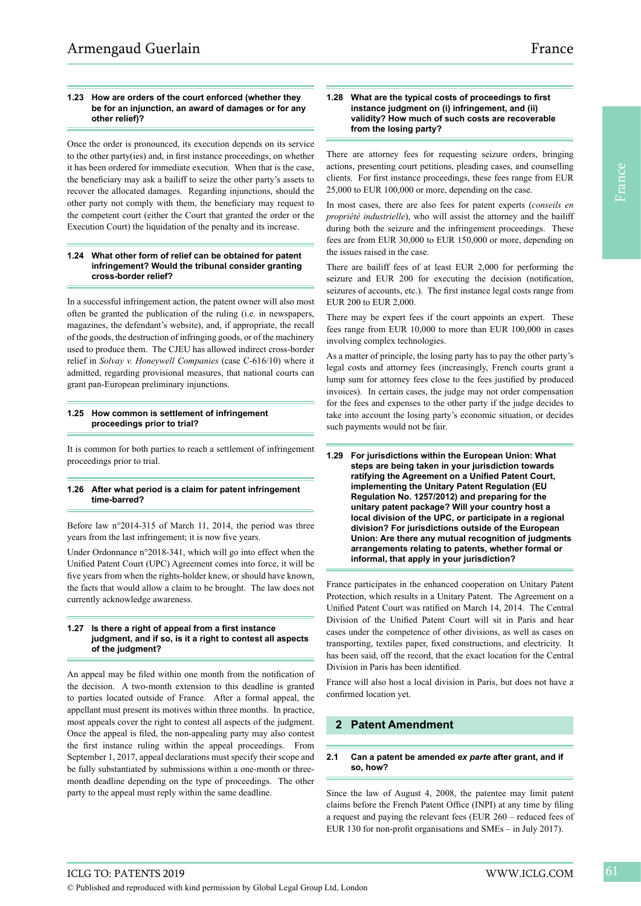#### **1.23 How are orders of the court enforced (whether they be for an injunction, an award of damages or for any other relief)?**

Once the order is pronounced, its execution depends on its service to the other party(ies) and, in first instance proceedings, on whether it has been ordered for immediate execution. When that is the case, the beneficiary may ask a bailiff to seize the other party's assets to recover the allocated damages. Regarding injunctions, should the other party not comply with them, the beneficiary may request to the competent court (either the Court that granted the order or the Execution Court) the liquidation of the penalty and its increase.

#### **1.24 What other form of relief can be obtained for patent infringement? Would the tribunal consider granting cross-border relief?**

In a successful infringement action, the patent owner will also most often be granted the publication of the ruling (i.e. in newspapers, magazines, the defendant's website), and, if appropriate, the recall of the goods, the destruction of infringing goods, or of the machinery used to produce them. The CJEU has allowed indirect cross-border relief in *Solvay v. Honeywell Companies* (case C-616/10) where it admitted, regarding provisional measures, that national courts can grant pan-European preliminary injunctions.

## **1.25 How common is settlement of infringement proceedings prior to trial?**

It is common for both parties to reach a settlement of infringement proceedings prior to trial.

#### **1.26 After what period is a claim for patent infringement time-barred?**

Before law n°2014-315 of March 11, 2014, the period was three years from the last infringement; it is now five years.

Under Ordonnance n°2018-341, which will go into effect when the Unified Patent Court (UPC) Agreement comes into force, it will be five years from when the rights-holder knew, or should have known, the facts that would allow a claim to be brought. The law does not currently acknowledge awareness.

#### **1.27 Is there a right of appeal from a first instance judgment, and if so, is it a right to contest all aspects of the judgment?**

An appeal may be filed within one month from the notification of the decision. A two-month extension to this deadline is granted to parties located outside of France. After a formal appeal, the appellant must present its motives within three months. In practice, most appeals cover the right to contest all aspects of the judgment. Once the appeal is filed, the non-appealing party may also contest the first instance ruling within the appeal proceedings. From September 1, 2017, appeal declarations must specify their scope and be fully substantiated by submissions within a one-month or threemonth deadline depending on the type of proceedings. The other party to the appeal must reply within the same deadline.

#### **1.28 What are the typical costs of proceedings to first instance judgment on (i) infringement, and (ii) validity? How much of such costs are recoverable from the losing party?**

There are attorney fees for requesting seizure orders, bringing actions, presenting court petitions, pleading cases, and counselling clients. For first instance proceedings, these fees range from EUR 25,000 to EUR 100,000 or more, depending on the case.

In most cases, there are also fees for patent experts (*conseils en propriété industrielle*), who will assist the attorney and the bailiff during both the seizure and the infringement proceedings. These fees are from EUR 30,000 to EUR 150,000 or more, depending on the issues raised in the case.

There are bailiff fees of at least EUR 2,000 for performing the seizure and EUR 200 for executing the decision (notification, seizures of accounts, etc.). The first instance legal costs range from EUR 200 to EUR 2,000.

There may be expert fees if the court appoints an expert. These fees range from EUR 10,000 to more than EUR 100,000 in cases involving complex technologies.

As a matter of principle, the losing party has to pay the other party's legal costs and attorney fees (increasingly, French courts grant a lump sum for attorney fees close to the fees justified by produced invoices). In certain cases, the judge may not order compensation for the fees and expenses to the other party if the judge decides to take into account the losing party's economic situation, or decides such payments would not be fair.

**1.29 For jurisdictions within the European Union: What steps are being taken in your jurisdiction towards ratifying the Agreement on a Unified Patent Court, implementing the Unitary Patent Regulation (EU Regulation No. 1257/2012) and preparing for the unitary patent package? Will your country host a local division of the UPC, or participate in a regional division? For jurisdictions outside of the European Union: Are there any mutual recognition of judgments arrangements relating to patents, whether formal or informal, that apply in your jurisdiction?**

France participates in the enhanced cooperation on Unitary Patent Protection, which results in a Unitary Patent. The Agreement on a Unified Patent Court was ratified on March 14, 2014. The Central Division of the Unified Patent Court will sit in Paris and hear cases under the competence of other divisions, as well as cases on transporting, textiles paper, fixed constructions, and electricity. It has been said, off the record, that the exact location for the Central Division in Paris has been identified.

France will also host a local division in Paris, but does not have a confirmed location yet.

# **2 Patent Amendment**

#### **2.1 Can a patent be amended** *ex parte* **after grant, and if so, how?**

Since the law of August 4, 2008, the patentee may limit patent claims before the French Patent Office (INPI) at any time by filing a request and paying the relevant fees (EUR 260 – reduced fees of EUR 130 for non-profit organisations and SMEs – in July 2017).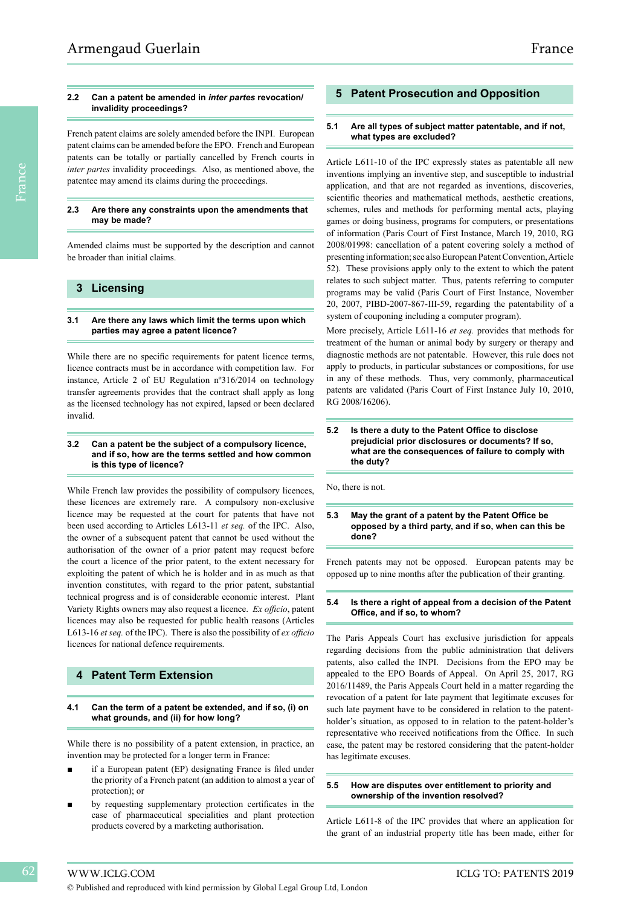#### **2.2 Can a patent be amended in** *inter partes* **revocation/ invalidity proceedings?**

French patent claims are solely amended before the INPI. European patent claims can be amended before the EPO. French and European patents can be totally or partially cancelled by French courts in *inter partes* invalidity proceedings. Also, as mentioned above, the patentee may amend its claims during the proceedings.

#### **2.3 Are there any constraints upon the amendments that may be made?**

Amended claims must be supported by the description and cannot be broader than initial claims.

# **3 Licensing**

#### **3.1 Are there any laws which limit the terms upon which parties may agree a patent licence?**

While there are no specific requirements for patent licence terms, licence contracts must be in accordance with competition law. For instance, Article 2 of EU Regulation nº316/2014 on technology transfer agreements provides that the contract shall apply as long as the licensed technology has not expired, lapsed or been declared invalid.

#### **3.2 Can a patent be the subject of a compulsory licence, and if so, how are the terms settled and how common is this type of licence?**

While French law provides the possibility of compulsory licences, these licences are extremely rare. A compulsory non-exclusive licence may be requested at the court for patents that have not been used according to Articles L613-11 *et seq.* of the IPC. Also, the owner of a subsequent patent that cannot be used without the authorisation of the owner of a prior patent may request before the court a licence of the prior patent, to the extent necessary for exploiting the patent of which he is holder and in as much as that invention constitutes, with regard to the prior patent, substantial technical progress and is of considerable economic interest. Plant Variety Rights owners may also request a licence. *Ex officio*, patent licences may also be requested for public health reasons (Articles L613-16 *et seq.* of the IPC). There is also the possibility of *ex officio* licences for national defence requirements.

# **4 Patent Term Extension**

#### **4.1 Can the term of a patent be extended, and if so, (i) on what grounds, and (ii) for how long?**

While there is no possibility of a patent extension, in practice, an invention may be protected for a longer term in France:

- if a European patent (EP) designating France is filed under the priority of a French patent (an addition to almost a year of protection); or
- by requesting supplementary protection certificates in the case of pharmaceutical specialities and plant protection products covered by a marketing authorisation.

## **5 Patent Prosecution and Opposition**

#### **5.1 Are all types of subject matter patentable, and if not, what types are excluded?**

Article L611-10 of the IPC expressly states as patentable all new inventions implying an inventive step, and susceptible to industrial application, and that are not regarded as inventions, discoveries, scientific theories and mathematical methods, aesthetic creations, schemes, rules and methods for performing mental acts, playing games or doing business, programs for computers, or presentations of information (Paris Court of First Instance, March 19, 2010, RG 2008/01998: cancellation of a patent covering solely a method of presenting information; see also European Patent Convention, Article 52). These provisions apply only to the extent to which the patent relates to such subject matter. Thus, patents referring to computer programs may be valid (Paris Court of First Instance, November 20, 2007, PIBD-2007-867-III-59, regarding the patentability of a system of couponing including a computer program).

More precisely, Article L611-16 *et seq.* provides that methods for treatment of the human or animal body by surgery or therapy and diagnostic methods are not patentable. However, this rule does not apply to products, in particular substances or compositions, for use in any of these methods. Thus, very commonly, pharmaceutical patents are validated (Paris Court of First Instance July 10, 2010, RG 2008/16206).

#### **5.2 Is there a duty to the Patent Office to disclose prejudicial prior disclosures or documents? If so, what are the consequences of failure to comply with the duty?**

No, there is not.

#### **5.3 May the grant of a patent by the Patent Office be opposed by a third party, and if so, when can this be done?**

French patents may not be opposed. European patents may be opposed up to nine months after the publication of their granting.

#### **5.4 Is there a right of appeal from a decision of the Patent Office, and if so, to whom?**

The Paris Appeals Court has exclusive jurisdiction for appeals regarding decisions from the public administration that delivers patents, also called the INPI. Decisions from the EPO may be appealed to the EPO Boards of Appeal. On April 25, 2017, RG 2016/11489, the Paris Appeals Court held in a matter regarding the revocation of a patent for late payment that legitimate excuses for such late payment have to be considered in relation to the patentholder's situation, as opposed to in relation to the patent-holder's representative who received notifications from the Office. In such case, the patent may be restored considering that the patent-holder has legitimate excuses.

#### **5.5 How are disputes over entitlement to priority and ownership of the invention resolved?**

Article L611-8 of the IPC provides that where an application for the grant of an industrial property title has been made, either for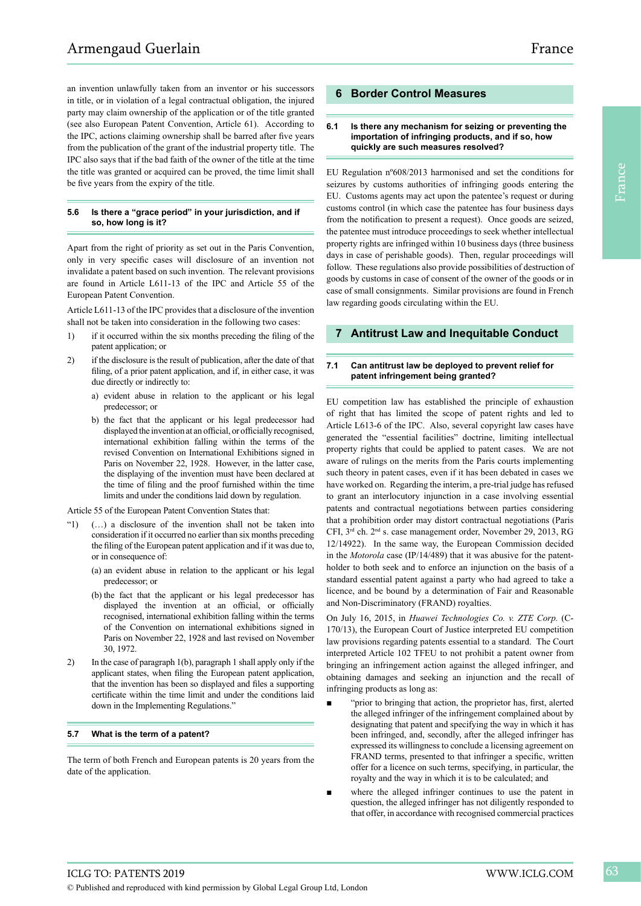an invention unlawfully taken from an inventor or his successors in title, or in violation of a legal contractual obligation, the injured party may claim ownership of the application or of the title granted (see also European Patent Convention, Article 61). According to the IPC, actions claiming ownership shall be barred after five years from the publication of the grant of the industrial property title. The IPC also says that if the bad faith of the owner of the title at the time the title was granted or acquired can be proved, the time limit shall be five years from the expiry of the title.

#### **5.6 Is there a "grace period" in your jurisdiction, and if so, how long is it?**

Apart from the right of priority as set out in the Paris Convention, only in very specific cases will disclosure of an invention not invalidate a patent based on such invention. The relevant provisions are found in Article L611-13 of the IPC and Article 55 of the European Patent Convention.

Article L611-13 of the IPC provides that a disclosure of the invention shall not be taken into consideration in the following two cases:

- 1) if it occurred within the six months preceding the filing of the patent application; or
- 2) if the disclosure is the result of publication, after the date of that filing, of a prior patent application, and if, in either case, it was due directly or indirectly to:
	- a) evident abuse in relation to the applicant or his legal predecessor; or
	- b) the fact that the applicant or his legal predecessor had displayed the invention at an official, or officially recognised, international exhibition falling within the terms of the revised Convention on International Exhibitions signed in Paris on November 22, 1928. However, in the latter case, the displaying of the invention must have been declared at the time of filing and the proof furnished within the time limits and under the conditions laid down by regulation.

Article 55 of the European Patent Convention States that:

- (...) a disclosure of the invention shall not be taken into consideration if it occurred no earlier than six months preceding the filing of the European patent application and if it was due to, or in consequence of:
	- (a) an evident abuse in relation to the applicant or his legal predecessor; or
	- (b) the fact that the applicant or his legal predecessor has displayed the invention at an official, or officially recognised, international exhibition falling within the terms of the Convention on international exhibitions signed in Paris on November 22, 1928 and last revised on November 30, 1972.
- 2) In the case of paragraph 1(b), paragraph 1 shall apply only if the applicant states, when filing the European patent application, that the invention has been so displayed and files a supporting certificate within the time limit and under the conditions laid down in the Implementing Regulations."

#### **5.7 What is the term of a patent?**

The term of both French and European patents is 20 years from the date of the application.

## **6 Border Control Measures**

#### **6.1 Is there any mechanism for seizing or preventing the importation of infringing products, and if so, how quickly are such measures resolved?**

EU Regulation nº608/2013 harmonised and set the conditions for seizures by customs authorities of infringing goods entering the EU. Customs agents may act upon the patentee's request or during customs control (in which case the patentee has four business days from the notification to present a request). Once goods are seized, the patentee must introduce proceedings to seek whether intellectual property rights are infringed within 10 business days (three business days in case of perishable goods). Then, regular proceedings will follow. These regulations also provide possibilities of destruction of goods by customs in case of consent of the owner of the goods or in case of small consignments. Similar provisions are found in French law regarding goods circulating within the EU.

## **7 Antitrust Law and Inequitable Conduct**

#### **7.1 Can antitrust law be deployed to prevent relief for patent infringement being granted?**

EU competition law has established the principle of exhaustion of right that has limited the scope of patent rights and led to Article L613-6 of the IPC. Also, several copyright law cases have generated the "essential facilities" doctrine, limiting intellectual property rights that could be applied to patent cases. We are not aware of rulings on the merits from the Paris courts implementing such theory in patent cases, even if it has been debated in cases we have worked on. Regarding the interim, a pre-trial judge has refused to grant an interlocutory injunction in a case involving essential patents and contractual negotiations between parties considering that a prohibition order may distort contractual negotiations (Paris CFI, 3rd ch. 2nd s. case management order, November 29, 2013, RG 12/14922). In the same way, the European Commission decided in the *Motorola* case (IP/14/489) that it was abusive for the patentholder to both seek and to enforce an injunction on the basis of a standard essential patent against a party who had agreed to take a licence, and be bound by a determination of Fair and Reasonable and Non-Discriminatory (FRAND) royalties.

On July 16, 2015, in *Huawei Technologies Co. v. ZTE Corp.* (C-170/13), the European Court of Justice interpreted EU competition law provisions regarding patents essential to a standard. The Court interpreted Article 102 TFEU to not prohibit a patent owner from bringing an infringement action against the alleged infringer, and obtaining damages and seeking an injunction and the recall of infringing products as long as:

- "prior to bringing that action, the proprietor has, first, alerted the alleged infringer of the infringement complained about by designating that patent and specifying the way in which it has been infringed, and, secondly, after the alleged infringer has expressed its willingness to conclude a licensing agreement on FRAND terms, presented to that infringer a specific, written offer for a licence on such terms, specifying, in particular, the royalty and the way in which it is to be calculated; and
- where the alleged infringer continues to use the patent in question, the alleged infringer has not diligently responded to that offer, in accordance with recognised commercial practices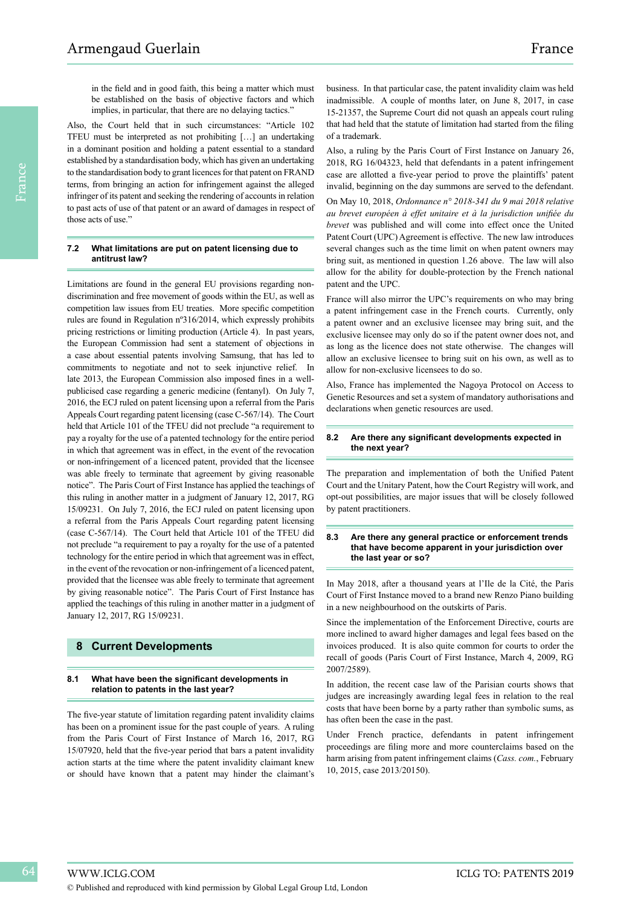in the field and in good faith, this being a matter which must be established on the basis of objective factors and which implies, in particular, that there are no delaying tactics."

Also, the Court held that in such circumstances: "Article 102 TFEU must be interpreted as not prohibiting […] an undertaking in a dominant position and holding a patent essential to a standard established by a standardisation body, which has given an undertaking to the standardisation body to grant licences for that patent on FRAND terms, from bringing an action for infringement against the alleged infringer of its patent and seeking the rendering of accounts in relation to past acts of use of that patent or an award of damages in respect of those acts of use."

#### **7.2 What limitations are put on patent licensing due to antitrust law?**

Limitations are found in the general EU provisions regarding nondiscrimination and free movement of goods within the EU, as well as competition law issues from EU treaties. More specific competition rules are found in Regulation nº316/2014, which expressly prohibits pricing restrictions or limiting production (Article 4). In past years, the European Commission had sent a statement of objections in a case about essential patents involving Samsung, that has led to commitments to negotiate and not to seek injunctive relief. In late 2013, the European Commission also imposed fines in a wellpublicised case regarding a generic medicine (fentanyl). On July 7, 2016, the ECJ ruled on patent licensing upon a referral from the Paris Appeals Court regarding patent licensing (case C-567/14). The Court held that Article 101 of the TFEU did not preclude "a requirement to pay a royalty for the use of a patented technology for the entire period in which that agreement was in effect, in the event of the revocation or non-infringement of a licenced patent, provided that the licensee was able freely to terminate that agreement by giving reasonable notice". The Paris Court of First Instance has applied the teachings of this ruling in another matter in a judgment of January 12, 2017, RG 15/09231. On July 7, 2016, the ECJ ruled on patent licensing upon a referral from the Paris Appeals Court regarding patent licensing (case C-567/14). The Court held that Article 101 of the TFEU did not preclude "a requirement to pay a royalty for the use of a patented technology for the entire period in which that agreement was in effect, in the event of the revocation or non-infringement of a licenced patent, provided that the licensee was able freely to terminate that agreement by giving reasonable notice". The Paris Court of First Instance has applied the teachings of this ruling in another matter in a judgment of January 12, 2017, RG 15/09231.

# **8 Current Developments**

#### **8.1 What have been the significant developments in relation to patents in the last year?**

The five-year statute of limitation regarding patent invalidity claims has been on a prominent issue for the past couple of years. A ruling from the Paris Court of First Instance of March 16, 2017, RG 15/07920, held that the five-year period that bars a patent invalidity action starts at the time where the patent invalidity claimant knew or should have known that a patent may hinder the claimant's

business. In that particular case, the patent invalidity claim was held inadmissible. A couple of months later, on June 8, 2017, in case 15-21357, the Supreme Court did not quash an appeals court ruling that had held that the statute of limitation had started from the filing of a trademark.

Also, a ruling by the Paris Court of First Instance on January 26, 2018, RG 16/04323, held that defendants in a patent infringement case are allotted a five-year period to prove the plaintiffs' patent invalid, beginning on the day summons are served to the defendant. On May 10, 2018, *Ordonnance n° 2018-341 du 9 mai 2018 relative au brevet européen à effet unitaire et à la jurisdiction unifiée du brevet* was published and will come into effect once the United Patent Court (UPC) Agreement is effective. The new law introduces several changes such as the time limit on when patent owners may bring suit, as mentioned in question 1.26 above. The law will also allow for the ability for double-protection by the French national patent and the UPC.

France will also mirror the UPC's requirements on who may bring a patent infringement case in the French courts. Currently, only a patent owner and an exclusive licensee may bring suit, and the exclusive licensee may only do so if the patent owner does not, and as long as the licence does not state otherwise. The changes will allow an exclusive licensee to bring suit on his own, as well as to allow for non-exclusive licensees to do so.

Also, France has implemented the Nagoya Protocol on Access to Genetic Resources and set a system of mandatory authorisations and declarations when genetic resources are used.

#### **8.2 Are there any significant developments expected in the next year?**

The preparation and implementation of both the Unified Patent Court and the Unitary Patent, how the Court Registry will work, and opt-out possibilities, are major issues that will be closely followed by patent practitioners.

#### **8.3 Are there any general practice or enforcement trends that have become apparent in your jurisdiction over the last year or so?**

In May 2018, after a thousand years at l'Ile de la Cité, the Paris Court of First Instance moved to a brand new Renzo Piano building in a new neighbourhood on the outskirts of Paris.

Since the implementation of the Enforcement Directive, courts are more inclined to award higher damages and legal fees based on the invoices produced. It is also quite common for courts to order the recall of goods (Paris Court of First Instance, March 4, 2009, RG 2007/2589).

In addition, the recent case law of the Parisian courts shows that judges are increasingly awarding legal fees in relation to the real costs that have been borne by a party rather than symbolic sums, as has often been the case in the past.

Under French practice, defendants in patent infringement proceedings are filing more and more counterclaims based on the harm arising from patent infringement claims (*Cass. com.*, February 10, 2015, case 2013/20150).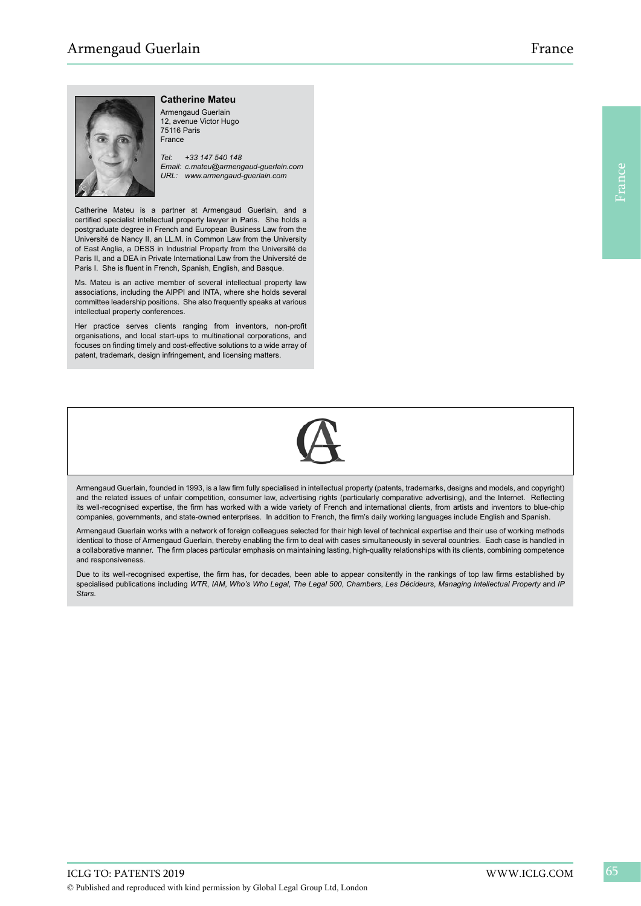

## **Catherine Mateu**

Armengaud Guerlain 12, avenue Victor Hugo 75116 Paris France

*Tel: +33 147 540 148 Email: c.mateu@armengaud-guerlain.com URL: www.armengaud-guerlain.com*

Catherine Mateu is a partner at Armengaud Guerlain, and a certified specialist intellectual property lawyer in Paris. She holds a postgraduate degree in French and European Business Law from the Université de Nancy II, an LL.M. in Common Law from the University of East Anglia, a DESS in Industrial Property from the Université de Paris II, and a DEA in Private International Law from the Université de Paris I. She is fluent in French, Spanish, English, and Basque.

Ms. Mateu is an active member of several intellectual property law associations, including the AIPPI and INTA, where she holds several committee leadership positions. She also frequently speaks at various intellectual property conferences.

Her practice serves clients ranging from inventors, non-profit organisations, and local start-ups to multinational corporations, and focuses on finding timely and cost-effective solutions to a wide array of patent, trademark, design infringement, and licensing matters.



Armengaud Guerlain, founded in 1993, is a law firm fully specialised in intellectual property (patents, trademarks, designs and models, and copyright) and the related issues of unfair competition, consumer law, advertising rights (particularly comparative advertising), and the Internet. Reflecting its well-recognised expertise, the firm has worked with a wide variety of French and international clients, from artists and inventors to blue-chip companies, governments, and state-owned enterprises. In addition to French, the firm's daily working languages include English and Spanish.

Armengaud Guerlain works with a network of foreign colleagues selected for their high level of technical expertise and their use of working methods identical to those of Armengaud Guerlain, thereby enabling the firm to deal with cases simultaneously in several countries. Each case is handled in a collaborative manner. The firm places particular emphasis on maintaining lasting, high-quality relationships with its clients, combining competence and responsiveness.

Due to its well-recognised expertise, the firm has, for decades, been able to appear consitently in the rankings of top law firms established by specialised publications including *WTR*, *IAM*, *Who's Who Legal*, *The Legal 500*, *Chambers*, *Les Décideurs*, *Managing Intellectual Property* and *IP Stars*.